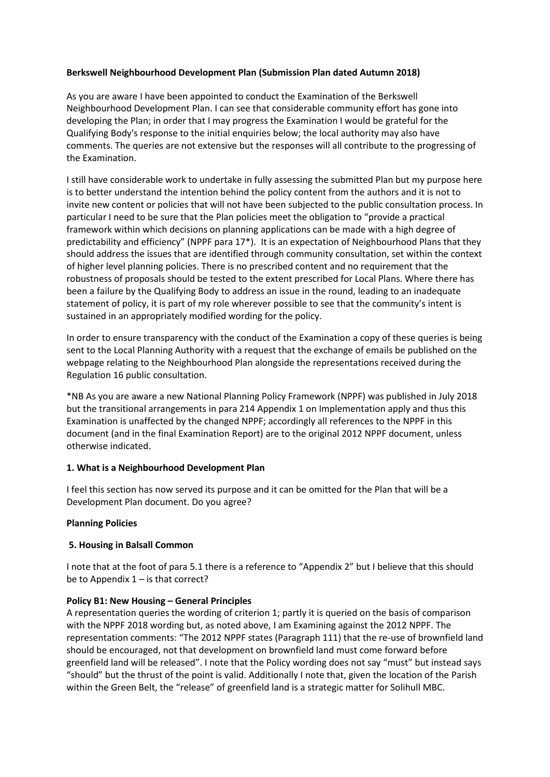# **Berkswell Neighbourhood Development Plan (Submission Plan dated Autumn 2018)**

As you are aware I have been appointed to conduct the Examination of the Berkswell Neighbourhood Development Plan. I can see that considerable community effort has gone into developing the Plan; in order that I may progress the Examination I would be grateful for the Qualifying Body's response to the initial enquiries below; the local authority may also have comments. The queries are not extensive but the responses will all contribute to the progressing of the Examination.

I still have considerable work to undertake in fully assessing the submitted Plan but my purpose here is to better understand the intention behind the policy content from the authors and it is not to invite new content or policies that will not have been subjected to the public consultation process. In particular I need to be sure that the Plan policies meet the obligation to "provide a practical framework within which decisions on planning applications can be made with a high degree of predictability and efficiency" (NPPF para 17\*). It is an expectation of Neighbourhood Plans that they should address the issues that are identified through community consultation, set within the context of higher level planning policies. There is no prescribed content and no requirement that the robustness of proposals should be tested to the extent prescribed for Local Plans. Where there has been a failure by the Qualifying Body to address an issue in the round, leading to an inadequate statement of policy, it is part of my role wherever possible to see that the community's intent is sustained in an appropriately modified wording for the policy.

In order to ensure transparency with the conduct of the Examination a copy of these queries is being sent to the Local Planning Authority with a request that the exchange of emails be published on the webpage relating to the Neighbourhood Plan alongside the representations received during the Regulation 16 public consultation.

\*NB As you are aware a new National Planning Policy Framework (NPPF) was published in July 2018 but the transitional arrangements in para 214 Appendix 1 on Implementation apply and thus this Examination is unaffected by the changed NPPF; accordingly all references to the NPPF in this document (and in the final Examination Report) are to the original 2012 NPPF document, unless otherwise indicated.

## **1. What is a Neighbourhood Development Plan**

I feel this section has now served its purpose and it can be omitted for the Plan that will be a Development Plan document. Do you agree?

## **Planning Policies**

## **5. Housing in Balsall Common**

I note that at the foot of para 5.1 there is a reference to "Appendix 2" but I believe that this should be to Appendix  $1 -$  is that correct?

## **Policy B1: New Housing – General Principles**

A representation queries the wording of criterion 1; partly it is queried on the basis of comparison with the NPPF 2018 wording but, as noted above, I am Examining against the 2012 NPPF. The representation comments: "The 2012 NPPF states (Paragraph 111) that the re-use of brownfield land should be encouraged, not that development on brownfield land must come forward before greenfield land will be released". I note that the Policy wording does not say "must" but instead says "should" but the thrust of the point is valid. Additionally I note that, given the location of the Parish within the Green Belt, the "release" of greenfield land is a strategic matter for Solihull MBC.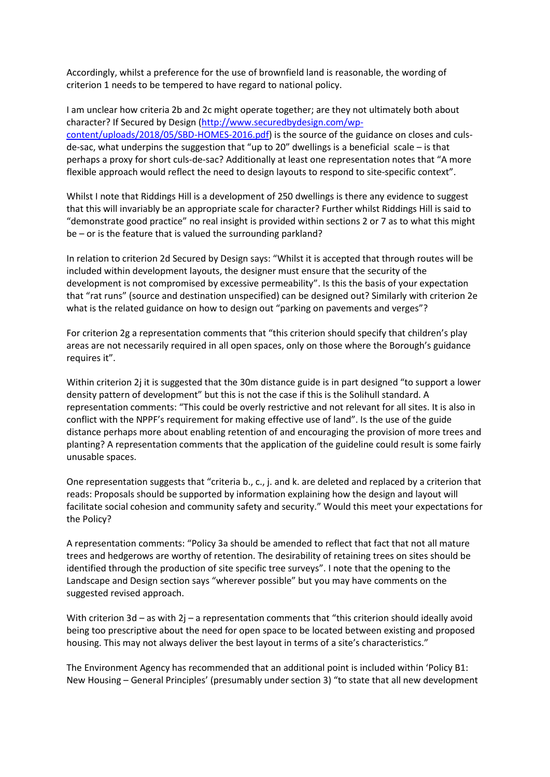Accordingly, whilst a preference for the use of brownfield land is reasonable, the wording of criterion 1 needs to be tempered to have regard to national policy.

I am unclear how criteria 2b and 2c might operate together; are they not ultimately both about character? If Secured by Design [\(http://www.securedbydesign.com/wp](http://www.securedbydesign.com/wp-content/uploads/2018/05/SBD-HOMES-2016.pdf)[content/uploads/2018/05/SBD-HOMES-2016.pdf\)](http://www.securedbydesign.com/wp-content/uploads/2018/05/SBD-HOMES-2016.pdf) is the source of the guidance on closes and culsde-sac, what underpins the suggestion that "up to 20" dwellings is a beneficial scale – is that perhaps a proxy for short culs-de-sac? Additionally at least one representation notes that "A more flexible approach would reflect the need to design layouts to respond to site-specific context".

Whilst I note that Riddings Hill is a development of 250 dwellings is there any evidence to suggest that this will invariably be an appropriate scale for character? Further whilst Riddings Hill is said to "demonstrate good practice" no real insight is provided within sections 2 or 7 as to what this might be – or is the feature that is valued the surrounding parkland?

In relation to criterion 2d Secured by Design says: "Whilst it is accepted that through routes will be included within development layouts, the designer must ensure that the security of the development is not compromised by excessive permeability". Is this the basis of your expectation that "rat runs" (source and destination unspecified) can be designed out? Similarly with criterion 2e what is the related guidance on how to design out "parking on pavements and verges"?

For criterion 2g a representation comments that "this criterion should specify that children's play areas are not necessarily required in all open spaces, only on those where the Borough's guidance requires it".

Within criterion 2j it is suggested that the 30m distance guide is in part designed "to support a lower density pattern of development" but this is not the case if this is the Solihull standard. A representation comments: "This could be overly restrictive and not relevant for all sites. It is also in conflict with the NPPF's requirement for making effective use of land". Is the use of the guide distance perhaps more about enabling retention of and encouraging the provision of more trees and planting? A representation comments that the application of the guideline could result is some fairly unusable spaces.

One representation suggests that "criteria b., c., j. and k. are deleted and replaced by a criterion that reads: Proposals should be supported by information explaining how the design and layout will facilitate social cohesion and community safety and security." Would this meet your expectations for the Policy?

A representation comments: "Policy 3a should be amended to reflect that fact that not all mature trees and hedgerows are worthy of retention. The desirability of retaining trees on sites should be identified through the production of site specific tree surveys". I note that the opening to the Landscape and Design section says "wherever possible" but you may have comments on the suggested revised approach.

With criterion 3d – as with 2j – a representation comments that "this criterion should ideally avoid being too prescriptive about the need for open space to be located between existing and proposed housing. This may not always deliver the best layout in terms of a site's characteristics."

The Environment Agency has recommended that an additional point is included within 'Policy B1: New Housing – General Principles' (presumably under section 3) "to state that all new development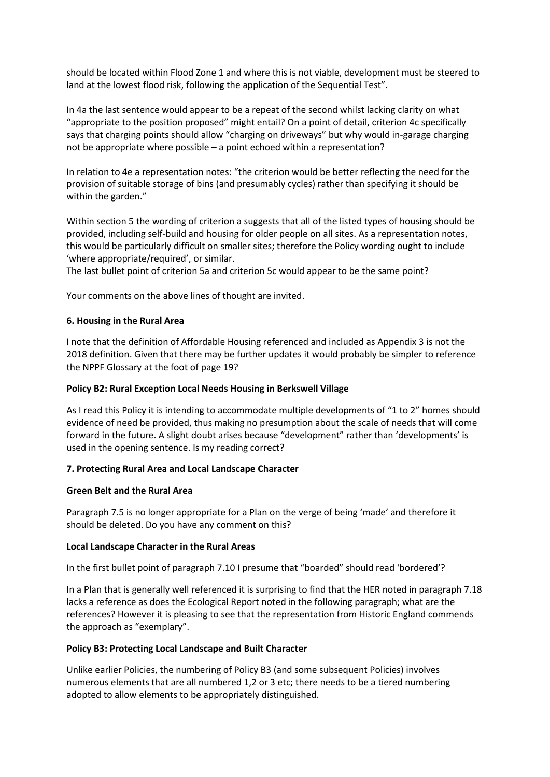should be located within Flood Zone 1 and where this is not viable, development must be steered to land at the lowest flood risk, following the application of the Sequential Test".

In 4a the last sentence would appear to be a repeat of the second whilst lacking clarity on what "appropriate to the position proposed" might entail? On a point of detail, criterion 4c specifically says that charging points should allow "charging on driveways" but why would in-garage charging not be appropriate where possible – a point echoed within a representation?

In relation to 4e a representation notes: "the criterion would be better reflecting the need for the provision of suitable storage of bins (and presumably cycles) rather than specifying it should be within the garden."

Within section 5 the wording of criterion a suggests that all of the listed types of housing should be provided, including self-build and housing for older people on all sites. As a representation notes, this would be particularly difficult on smaller sites; therefore the Policy wording ought to include 'where appropriate/required', or similar.

The last bullet point of criterion 5a and criterion 5c would appear to be the same point?

Your comments on the above lines of thought are invited.

# **6. Housing in the Rural Area**

I note that the definition of Affordable Housing referenced and included as Appendix 3 is not the 2018 definition. Given that there may be further updates it would probably be simpler to reference the NPPF Glossary at the foot of page 19?

## **Policy B2: Rural Exception Local Needs Housing in Berkswell Village**

As I read this Policy it is intending to accommodate multiple developments of "1 to 2" homes should evidence of need be provided, thus making no presumption about the scale of needs that will come forward in the future. A slight doubt arises because "development" rather than 'developments' is used in the opening sentence. Is my reading correct?

## **7. Protecting Rural Area and Local Landscape Character**

## **Green Belt and the Rural Area**

Paragraph 7.5 is no longer appropriate for a Plan on the verge of being 'made' and therefore it should be deleted. Do you have any comment on this?

## **Local Landscape Character in the Rural Areas**

In the first bullet point of paragraph 7.10 I presume that "boarded" should read 'bordered'?

In a Plan that is generally well referenced it is surprising to find that the HER noted in paragraph 7.18 lacks a reference as does the Ecological Report noted in the following paragraph; what are the references? However it is pleasing to see that the representation from Historic England commends the approach as "exemplary".

## **Policy B3: Protecting Local Landscape and Built Character**

Unlike earlier Policies, the numbering of Policy B3 (and some subsequent Policies) involves numerous elements that are all numbered 1,2 or 3 etc; there needs to be a tiered numbering adopted to allow elements to be appropriately distinguished.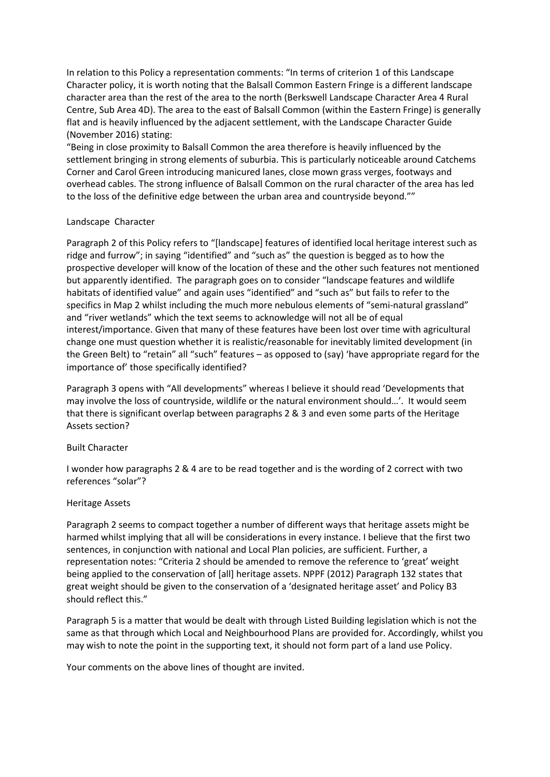In relation to this Policy a representation comments: "In terms of criterion 1 of this Landscape Character policy, it is worth noting that the Balsall Common Eastern Fringe is a different landscape character area than the rest of the area to the north (Berkswell Landscape Character Area 4 Rural Centre, Sub Area 4D). The area to the east of Balsall Common (within the Eastern Fringe) is generally flat and is heavily influenced by the adjacent settlement, with the Landscape Character Guide (November 2016) stating:

"Being in close proximity to Balsall Common the area therefore is heavily influenced by the settlement bringing in strong elements of suburbia. This is particularly noticeable around Catchems Corner and Carol Green introducing manicured lanes, close mown grass verges, footways and overhead cables. The strong influence of Balsall Common on the rural character of the area has led to the loss of the definitive edge between the urban area and countryside beyond.""

## Landscape Character

Paragraph 2 of this Policy refers to "[landscape] features of identified local heritage interest such as ridge and furrow"; in saying "identified" and "such as" the question is begged as to how the prospective developer will know of the location of these and the other such features not mentioned but apparently identified. The paragraph goes on to consider "landscape features and wildlife habitats of identified value" and again uses "identified" and "such as" but fails to refer to the specifics in Map 2 whilst including the much more nebulous elements of "semi-natural grassland" and "river wetlands" which the text seems to acknowledge will not all be of equal interest/importance. Given that many of these features have been lost over time with agricultural change one must question whether it is realistic/reasonable for inevitably limited development (in the Green Belt) to "retain" all "such" features – as opposed to (say) 'have appropriate regard for the importance of' those specifically identified?

Paragraph 3 opens with "All developments" whereas I believe it should read 'Developments that may involve the loss of countryside, wildlife or the natural environment should…'. It would seem that there is significant overlap between paragraphs 2 & 3 and even some parts of the Heritage Assets section?

#### Built Character

I wonder how paragraphs 2 & 4 are to be read together and is the wording of 2 correct with two references "solar"?

#### Heritage Assets

Paragraph 2 seems to compact together a number of different ways that heritage assets might be harmed whilst implying that all will be considerations in every instance. I believe that the first two sentences, in conjunction with national and Local Plan policies, are sufficient. Further, a representation notes: "Criteria 2 should be amended to remove the reference to 'great' weight being applied to the conservation of [all] heritage assets. NPPF (2012) Paragraph 132 states that great weight should be given to the conservation of a 'designated heritage asset' and Policy B3 should reflect this."

Paragraph 5 is a matter that would be dealt with through Listed Building legislation which is not the same as that through which Local and Neighbourhood Plans are provided for. Accordingly, whilst you may wish to note the point in the supporting text, it should not form part of a land use Policy.

Your comments on the above lines of thought are invited.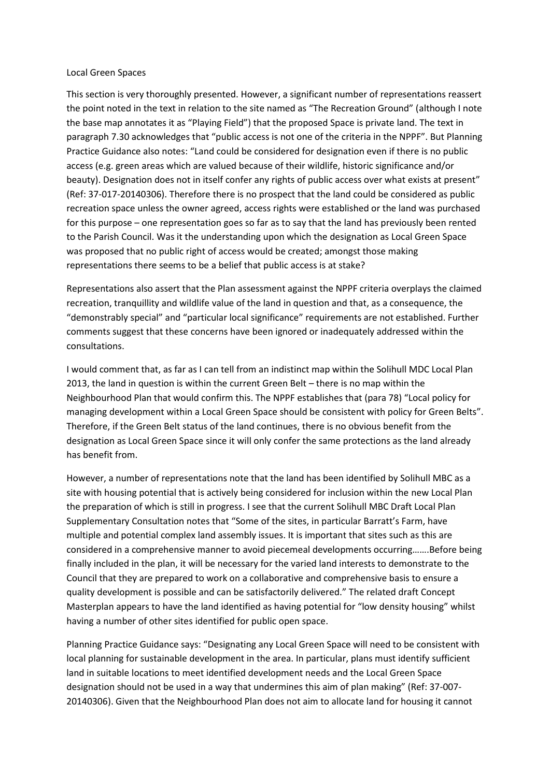#### Local Green Spaces

This section is very thoroughly presented. However, a significant number of representations reassert the point noted in the text in relation to the site named as "The Recreation Ground" (although I note the base map annotates it as "Playing Field") that the proposed Space is private land. The text in paragraph 7.30 acknowledges that "public access is not one of the criteria in the NPPF". But Planning Practice Guidance also notes: "Land could be considered for designation even if there is no public access (e.g. green areas which are valued because of their wildlife, historic significance and/or beauty). Designation does not in itself confer any rights of public access over what exists at present" (Ref: 37-017-20140306). Therefore there is no prospect that the land could be considered as public recreation space unless the owner agreed, access rights were established or the land was purchased for this purpose – one representation goes so far as to say that the land has previously been rented to the Parish Council. Was it the understanding upon which the designation as Local Green Space was proposed that no public right of access would be created; amongst those making representations there seems to be a belief that public access is at stake?

Representations also assert that the Plan assessment against the NPPF criteria overplays the claimed recreation, tranquillity and wildlife value of the land in question and that, as a consequence, the "demonstrably special" and "particular local significance" requirements are not established. Further comments suggest that these concerns have been ignored or inadequately addressed within the consultations.

I would comment that, as far as I can tell from an indistinct map within the Solihull MDC Local Plan 2013, the land in question is within the current Green Belt – there is no map within the Neighbourhood Plan that would confirm this. The NPPF establishes that (para 78) "Local policy for managing development within a Local Green Space should be consistent with policy for Green Belts". Therefore, if the Green Belt status of the land continues, there is no obvious benefit from the designation as Local Green Space since it will only confer the same protections as the land already has benefit from.

However, a number of representations note that the land has been identified by Solihull MBC as a site with housing potential that is actively being considered for inclusion within the new Local Plan the preparation of which is still in progress. I see that the current Solihull MBC Draft Local Plan Supplementary Consultation notes that "Some of the sites, in particular Barratt's Farm, have multiple and potential complex land assembly issues. It is important that sites such as this are considered in a comprehensive manner to avoid piecemeal developments occurring…….Before being finally included in the plan, it will be necessary for the varied land interests to demonstrate to the Council that they are prepared to work on a collaborative and comprehensive basis to ensure a quality development is possible and can be satisfactorily delivered." The related draft Concept Masterplan appears to have the land identified as having potential for "low density housing" whilst having a number of other sites identified for public open space.

Planning Practice Guidance says: "Designating any Local Green Space will need to be consistent with local planning for sustainable development in the area. In particular, plans must identify sufficient land in suitable locations to meet identified development needs and the Local Green Space designation should not be used in a way that undermines this aim of plan making" (Ref: 37-007- 20140306). Given that the Neighbourhood Plan does not aim to allocate land for housing it cannot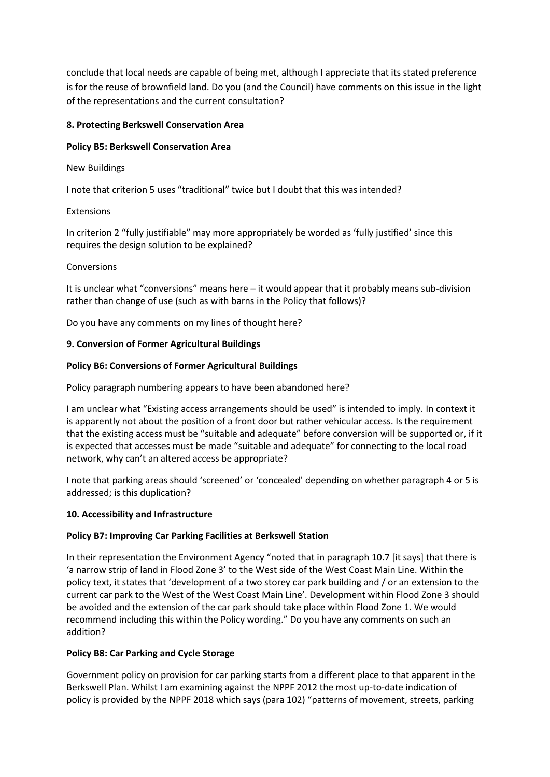conclude that local needs are capable of being met, although I appreciate that its stated preference is for the reuse of brownfield land. Do you (and the Council) have comments on this issue in the light of the representations and the current consultation?

# **8. Protecting Berkswell Conservation Area**

# **Policy B5: Berkswell Conservation Area**

## New Buildings

I note that criterion 5 uses "traditional" twice but I doubt that this was intended?

# Extensions

In criterion 2 "fully justifiable" may more appropriately be worded as 'fully justified' since this requires the design solution to be explained?

# Conversions

It is unclear what "conversions" means here – it would appear that it probably means sub-division rather than change of use (such as with barns in the Policy that follows)?

Do you have any comments on my lines of thought here?

# **9. Conversion of Former Agricultural Buildings**

# **Policy B6: Conversions of Former Agricultural Buildings**

Policy paragraph numbering appears to have been abandoned here?

I am unclear what "Existing access arrangements should be used" is intended to imply. In context it is apparently not about the position of a front door but rather vehicular access. Is the requirement that the existing access must be "suitable and adequate" before conversion will be supported or, if it is expected that accesses must be made "suitable and adequate" for connecting to the local road network, why can't an altered access be appropriate?

I note that parking areas should 'screened' or 'concealed' depending on whether paragraph 4 or 5 is addressed; is this duplication?

## **10. Accessibility and Infrastructure**

# **Policy B7: Improving Car Parking Facilities at Berkswell Station**

In their representation the Environment Agency "noted that in paragraph 10.7 [it says] that there is 'a narrow strip of land in Flood Zone 3' to the West side of the West Coast Main Line. Within the policy text, it states that 'development of a two storey car park building and / or an extension to the current car park to the West of the West Coast Main Line'. Development within Flood Zone 3 should be avoided and the extension of the car park should take place within Flood Zone 1. We would recommend including this within the Policy wording." Do you have any comments on such an addition?

## **Policy B8: Car Parking and Cycle Storage**

Government policy on provision for car parking starts from a different place to that apparent in the Berkswell Plan. Whilst I am examining against the NPPF 2012 the most up-to-date indication of policy is provided by the NPPF 2018 which says (para 102) "patterns of movement, streets, parking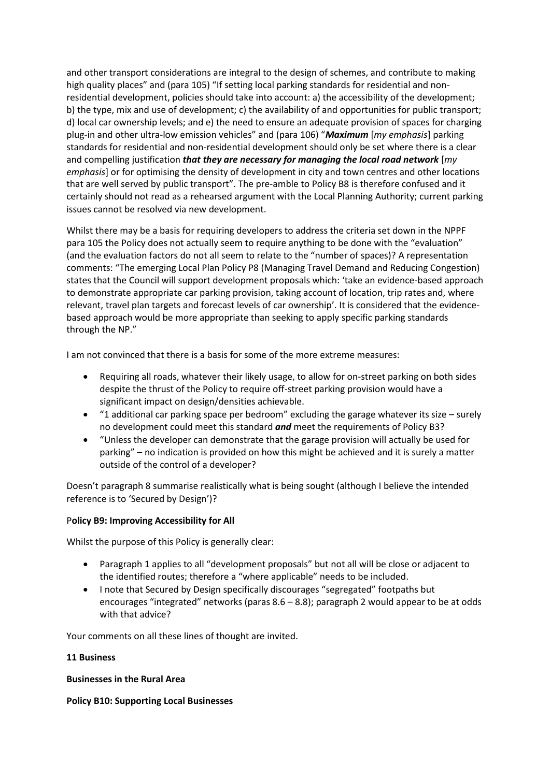and other transport considerations are integral to the design of schemes, and contribute to making high quality places" and (para 105) "If setting local parking standards for residential and nonresidential development, policies should take into account: a) the accessibility of the development; b) the type, mix and use of development; c) the availability of and opportunities for public transport; d) local car ownership levels; and e) the need to ensure an adequate provision of spaces for charging plug-in and other ultra-low emission vehicles" and (para 106) "*Maximum* [*my emphasis*] parking standards for residential and non-residential development should only be set where there is a clear and compelling justification *that they are necessary for managing the local road network* [*my emphasis*] or for optimising the density of development in city and town centres and other locations that are well served by public transport". The pre-amble to Policy B8 is therefore confused and it certainly should not read as a rehearsed argument with the Local Planning Authority; current parking issues cannot be resolved via new development.

Whilst there may be a basis for requiring developers to address the criteria set down in the NPPF para 105 the Policy does not actually seem to require anything to be done with the "evaluation" (and the evaluation factors do not all seem to relate to the "number of spaces)? A representation comments: "The emerging Local Plan Policy P8 (Managing Travel Demand and Reducing Congestion) states that the Council will support development proposals which: 'take an evidence-based approach to demonstrate appropriate car parking provision, taking account of location, trip rates and, where relevant, travel plan targets and forecast levels of car ownership'. It is considered that the evidencebased approach would be more appropriate than seeking to apply specific parking standards through the NP."

I am not convinced that there is a basis for some of the more extreme measures:

- Requiring all roads, whatever their likely usage, to allow for on-street parking on both sides despite the thrust of the Policy to require off-street parking provision would have a significant impact on design/densities achievable.
- "1 additional car parking space per bedroom" excluding the garage whatever its size surely no development could meet this standard *and* meet the requirements of Policy B3?
- "Unless the developer can demonstrate that the garage provision will actually be used for parking" – no indication is provided on how this might be achieved and it is surely a matter outside of the control of a developer?

Doesn't paragraph 8 summarise realistically what is being sought (although I believe the intended reference is to 'Secured by Design')?

## P**olicy B9: Improving Accessibility for All**

Whilst the purpose of this Policy is generally clear:

- Paragraph 1 applies to all "development proposals" but not all will be close or adjacent to the identified routes; therefore a "where applicable" needs to be included.
- I note that Secured by Design specifically discourages "segregated" footpaths but encourages "integrated" networks (paras 8.6 – 8.8); paragraph 2 would appear to be at odds with that advice?

Your comments on all these lines of thought are invited.

## **11 Business**

**Businesses in the Rural Area**

## **Policy B10: Supporting Local Businesses**